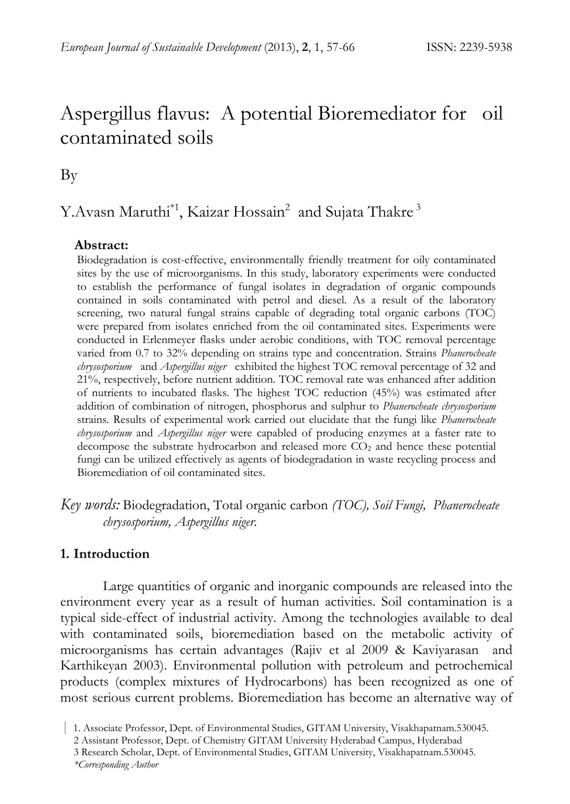# Aspergillus flavus: A potential Bioremediator for oil contaminated soils

By

# Y.Avasn Maruthi<sup>\*1</sup>, Kaizar Hossain<sup>2</sup> and Sujata Thakre<sup>3</sup>

### **Abstract:**

Biodegradation is cost-effective, environmentally friendly treatment for oily contaminated sites by the use of microorganisms. In this study, laboratory experiments were conducted to establish the performance of fungal isolates in degradation of organic compounds contained in soils contaminated with petrol and diesel. As a result of the laboratory screening, two natural fungal strains capable of degrading total organic carbons (TOC) were prepared from isolates enriched from the oil contaminated sites. Experiments were conducted in Erlenmeyer flasks under aerobic conditions, with TOC removal percentage varied from 0.7 to 32% depending on strains type and concentration. Strains *Phanerocheate chrysosporium* and *Aspergillus niger* exhibited the highest TOC removal percentage of 32 and 21%, respectively, before nutrient addition. TOC removal rate was enhanced after addition of nutrients to incubated flasks. The highest TOC reduction (45%) was estimated after addition of combination of nitrogen, phosphorus and sulphur to *Phanerocheate chrysosporium* strains. Results of experimental work carried out elucidate that the fungi like *Phanerocheate chrysosporium* and *Aspergillus niger* were capabled of producing enzymes at a faster rate to decompose the substrate hydrocarbon and released more  $CO<sub>2</sub>$  and hence these potential fungi can be utilized effectively as agents of biodegradation in waste recycling process and Bioremediation of oil contaminated sites.

*Key words:* Biodegradation, Total organic carbon *(TOC), Soil Fungi, Phanerocheate chrysosporium, Aspergillus niger.* 

# **1. Introduction**

Large quantities of organic and inorganic compounds are released into the environment every year as a result of human activities. Soil contamination is a typical side-effect of industrial activity. Among the technologies available to deal with contaminated soils, bioremediation based on the metabolic activity of microorganisms has certain advantages (Rajiv et al 2009 & Kaviyarasan and Karthikeyan 2003). Environmental pollution with petroleum and petrochemical products (complex mixtures of Hydrocarbons) has been recognized as one of most serious current problems. Bioremediation has become an alternative way of

 <sup>|</sup> 1. Associate Professor, Dept. of Environmental Studies, GITAM University, Visakhapatnam.530045.

 <sup>2</sup> Assistant Professor, Dept. of Chemistry GITAM University Hyderabad Campus, Hyderabad

 <sup>3</sup> Research Scholar, Dept. of Environmental Studies, GITAM University, Visakhapatnam.530045.

 *<sup>\*</sup>Corresponding Author*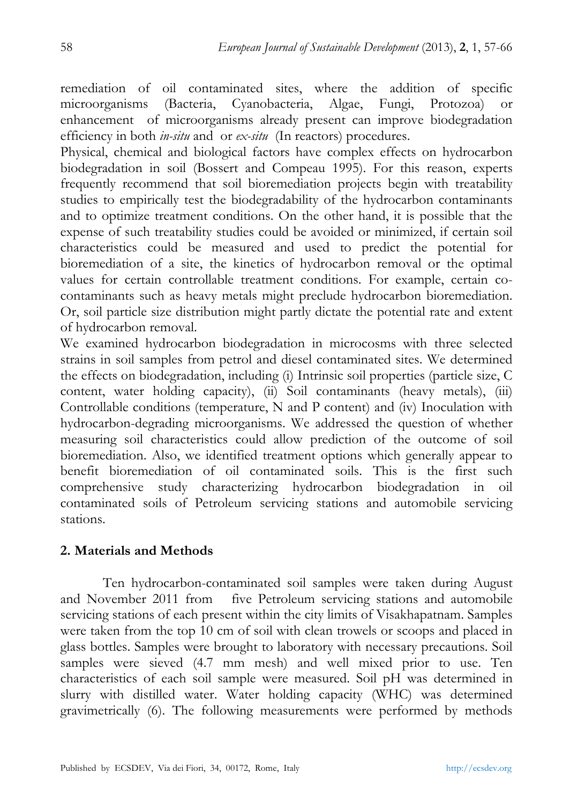remediation of oil contaminated sites, where the addition of specific microorganisms (Bacteria, Cyanobacteria, Algae, Fungi, Protozoa) or enhancement of microorganisms already present can improve biodegradation efficiency in both *in-situ* and or *ex-situ* (In reactors) procedures.

Physical, chemical and biological factors have complex effects on hydrocarbon biodegradation in soil (Bossert and Compeau 1995). For this reason, experts frequently recommend that soil bioremediation projects begin with treatability studies to empirically test the biodegradability of the hydrocarbon contaminants and to optimize treatment conditions. On the other hand, it is possible that the expense of such treatability studies could be avoided or minimized, if certain soil characteristics could be measured and used to predict the potential for bioremediation of a site, the kinetics of hydrocarbon removal or the optimal values for certain controllable treatment conditions. For example, certain cocontaminants such as heavy metals might preclude hydrocarbon bioremediation. Or, soil particle size distribution might partly dictate the potential rate and extent of hydrocarbon removal.

We examined hydrocarbon biodegradation in microcosms with three selected strains in soil samples from petrol and diesel contaminated sites. We determined the effects on biodegradation, including (i) Intrinsic soil properties (particle size, C content, water holding capacity), (ii) Soil contaminants (heavy metals), (iii) Controllable conditions (temperature, N and P content) and (iv) Inoculation with hydrocarbon-degrading microorganisms. We addressed the question of whether measuring soil characteristics could allow prediction of the outcome of soil bioremediation. Also, we identified treatment options which generally appear to benefit bioremediation of oil contaminated soils. This is the first such comprehensive study characterizing hydrocarbon biodegradation in oil contaminated soils of Petroleum servicing stations and automobile servicing stations.

# **2. Materials and Methods**

Ten hydrocarbon-contaminated soil samples were taken during August and November 2011 from five Petroleum servicing stations and automobile servicing stations of each present within the city limits of Visakhapatnam. Samples were taken from the top 10 cm of soil with clean trowels or scoops and placed in glass bottles. Samples were brought to laboratory with necessary precautions. Soil samples were sieved (4.7 mm mesh) and well mixed prior to use. Ten characteristics of each soil sample were measured. Soil pH was determined in slurry with distilled water. Water holding capacity (WHC) was determined gravimetrically (6). The following measurements were performed by methods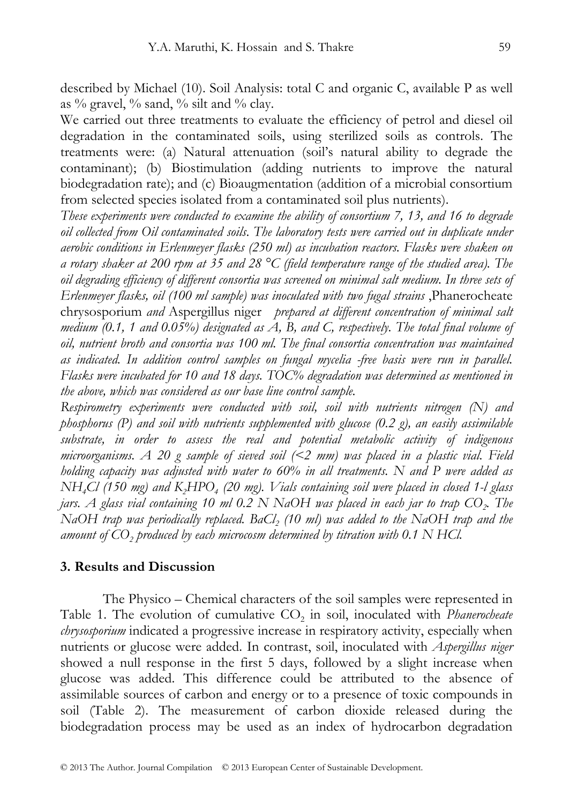described by Michael (10). Soil Analysis: total C and organic C, available P as well as  $\%$  gravel,  $\%$  sand,  $\%$  silt and  $\%$  clay.

We carried out three treatments to evaluate the efficiency of petrol and diesel oil degradation in the contaminated soils, using sterilized soils as controls. The treatments were: (a) Natural attenuation (soil's natural ability to degrade the contaminant); (b) Biostimulation (adding nutrients to improve the natural biodegradation rate); and (c) Bioaugmentation (addition of a microbial consortium from selected species isolated from a contaminated soil plus nutrients).

*These experiments were conducted to examine the ability of consortium 7, 13, and 16 to degrade oil collected from Oil contaminated soils*. *The laboratory tests were carried out in duplicate under aerobic conditions in Erlenmeyer flasks (250 ml) as incubation reactors. Flasks were shaken on a rotary shaker at 200 rpm at 35 and 28 °C (field temperature range of the studied area). The oil degrading efficiency of different consortia was screened on minimal salt medium. In three sets of Erlenmeyer flasks, oil (100 ml sample) was inoculated with two fugal strains* ,Phanerocheate chrysosporium *and* Aspergillus niger *prepared at different concentration of minimal salt medium (0.1, 1 and 0.05%) designated as A, B, and C, respectively. The total final volume of oil, nutrient broth and consortia was 100 ml. The final consortia concentration was maintained as indicated. In addition control samples on fungal mycelia -free basis were run in parallel. Flasks were incubated for 10 and 18 days. TOC% degradation was determined as mentioned in the above, which was considered as our base line control sample.* 

*Respirometry experiments were conducted with soil, soil with nutrients nitrogen (N) and phosphorus (P) and soil with nutrients supplemented with glucose (0.2 g), an easily assimilable substrate, in order to assess the real and potential metabolic activity of indigenous microorganisms. A 20 g sample of sieved soil (<2 mm) was placed in a plastic vial. Field holding capacity was adjusted with water to 60% in all treatments. N and P were added as NH<sub>4</sub>Cl* (150 mg) and K<sub>2</sub>HPO<sub>4</sub> (20 mg). *Vials containing soil were placed in closed 1-l glass jars. A glass vial containing 10 ml 0.2 N NaOH was placed in each jar to trap CO<sub>2</sub>. The NaOH trap was periodically replaced. BaCl<sub>2</sub> (10 ml) was added to the NaOH trap and the* amount of CO<sub>2</sub> produced by each microcosm determined by titration with 0.1 N HCl.

### **3. Results and Discussion**

The Physico – Chemical characters of the soil samples were represented in Table 1. The evolution of cumulative CO<sub>2</sub> in soil, inoculated with *Phanerocheate chrysosporium* indicated a progressive increase in respiratory activity, especially when nutrients or glucose were added. In contrast, soil, inoculated with *Aspergillus niger*  showed a null response in the first 5 days, followed by a slight increase when glucose was added. This difference could be attributed to the absence of assimilable sources of carbon and energy or to a presence of toxic compounds in soil (Table 2). The measurement of carbon dioxide released during the biodegradation process may be used as an index of hydrocarbon degradation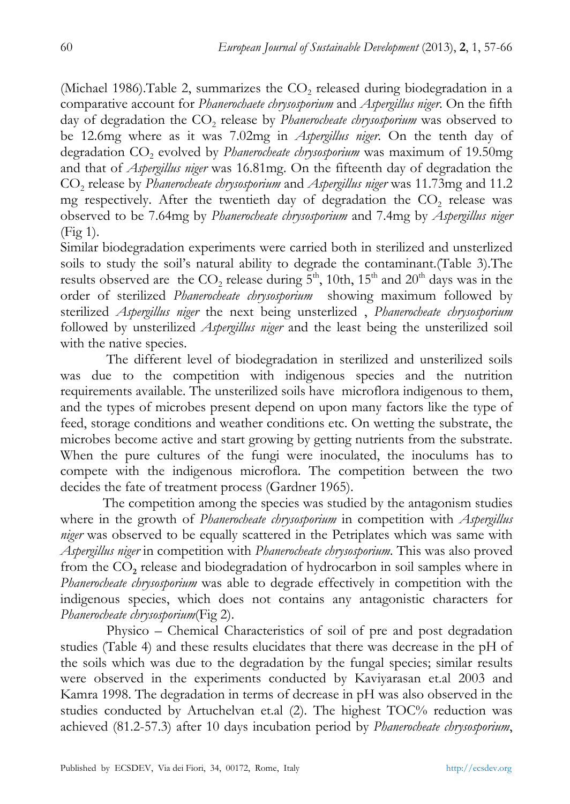(Michael 1986). Table 2, summarizes the  $CO<sub>2</sub>$  released during biodegradation in a comparative account for *Phanerochaete chrysosporium* and *Aspergillus niger*. On the fifth day of degradation the CO<sub>2</sub> release by *Phanerocheate chrysosporium* was observed to be 12.6mg where as it was 7.02mg in *Aspergillus niger*. On the tenth day of degradation CO<sub>2</sub> evolved by *Phanerocheate chrysosporium* was maximum of 19.50mg and that of *Aspergillus niger* was 16.81mg. On the fifteenth day of degradation the CO2 release by *Phanerocheate chrysosporium* and *Aspergillus niger* was 11.73mg and 11.2 mg respectively. After the twentieth day of degradation the  $CO<sub>2</sub>$  release was observed to be 7.64mg by *Phanerocheate chrysosporium* and 7.4mg by *Aspergillus niger* (Fig 1).

Similar biodegradation experiments were carried both in sterilized and unsterlized soils to study the soil's natural ability to degrade the contaminant.(Table 3).The results observed are the  $CO_2$  release during  $5<sup>th</sup>$ , 10th, 15<sup>th</sup> and 20<sup>th</sup> days was in the order of sterilized *Phanerocheate chrysosporium* showing maximum followed by sterilized *Aspergillus niger* the next being unsterlized , *Phanerocheate chrysosporium*  followed by unsterilized *Aspergillus niger* and the least being the unsterilized soil with the native species.

 The different level of biodegradation in sterilized and unsterilized soils was due to the competition with indigenous species and the nutrition requirements available. The unsterilized soils have microflora indigenous to them, and the types of microbes present depend on upon many factors like the type of feed, storage conditions and weather conditions etc. On wetting the substrate, the microbes become active and start growing by getting nutrients from the substrate. When the pure cultures of the fungi were inoculated, the inoculums has to compete with the indigenous microflora. The competition between the two decides the fate of treatment process (Gardner 1965).

 The competition among the species was studied by the antagonism studies where in the growth of *Phanerocheate chrysosporium* in competition with *Aspergillus niger* was observed to be equally scattered in the Petriplates which was same with *Aspergillus niger* in competition with *Phanerocheate chrysosporium*. This was also proved from the CO**<sup>2</sup>** release and biodegradation of hydrocarbon in soil samples where in *Phanerocheate chrysosporium* was able to degrade effectively in competition with the indigenous species, which does not contains any antagonistic characters for *Phanerocheate chrysosporium*(Fig 2).

 Physico – Chemical Characteristics of soil of pre and post degradation studies (Table 4) and these results elucidates that there was decrease in the pH of the soils which was due to the degradation by the fungal species; similar results were observed in the experiments conducted by Kaviyarasan et.al 2003 and Kamra 1998. The degradation in terms of decrease in pH was also observed in the studies conducted by Artuchelvan et.al (2). The highest TOC% reduction was achieved (81.2-57.3) after 10 days incubation period by *Phanerocheate chrysosporium*,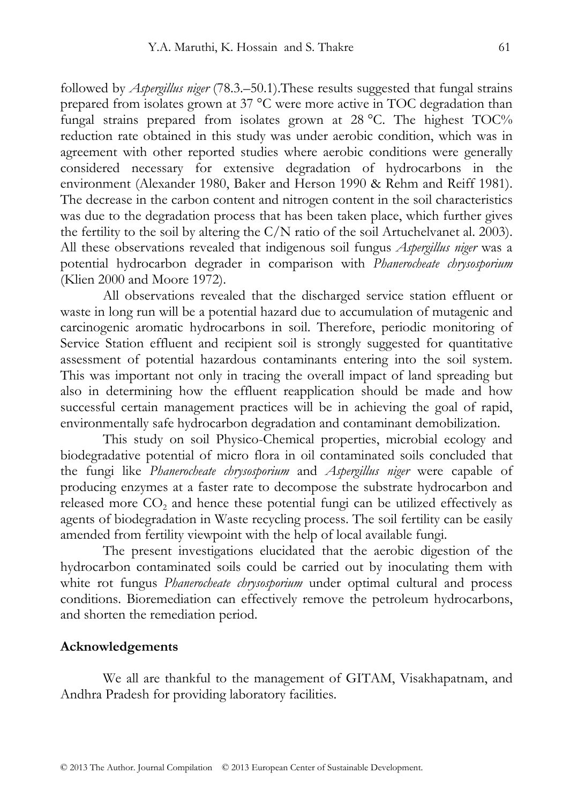followed by *Aspergillus niger* (78.3.–50.1).These results suggested that fungal strains prepared from isolates grown at 37 °C were more active in TOC degradation than fungal strains prepared from isolates grown at 28 °C. The highest TOC% reduction rate obtained in this study was under aerobic condition, which was in agreement with other reported studies where aerobic conditions were generally considered necessary for extensive degradation of hydrocarbons in the environment (Alexander 1980, Baker and Herson 1990 & Rehm and Reiff 1981). The decrease in the carbon content and nitrogen content in the soil characteristics was due to the degradation process that has been taken place, which further gives the fertility to the soil by altering the  $C/N$  ratio of the soil Artuchelvanet al. 2003). All these observations revealed that indigenous soil fungus *Aspergillus niger* was a potential hydrocarbon degrader in comparison with *Phanerocheate chrysosporium* (Klien 2000 and Moore 1972).

 All observations revealed that the discharged service station effluent or waste in long run will be a potential hazard due to accumulation of mutagenic and carcinogenic aromatic hydrocarbons in soil. Therefore, periodic monitoring of Service Station effluent and recipient soil is strongly suggested for quantitative assessment of potential hazardous contaminants entering into the soil system. This was important not only in tracing the overall impact of land spreading but also in determining how the effluent reapplication should be made and how successful certain management practices will be in achieving the goal of rapid, environmentally safe hydrocarbon degradation and contaminant demobilization.

 This study on soil Physico-Chemical properties, microbial ecology and biodegradative potential of micro flora in oil contaminated soils concluded that the fungi like *Phanerocheate chrysosporium* and *Aspergillus niger* were capable of producing enzymes at a faster rate to decompose the substrate hydrocarbon and released more CO<sub>2</sub> and hence these potential fungi can be utilized effectively as agents of biodegradation in Waste recycling process. The soil fertility can be easily amended from fertility viewpoint with the help of local available fungi.

 The present investigations elucidated that the aerobic digestion of the hydrocarbon contaminated soils could be carried out by inoculating them with white rot fungus *Phanerocheate chrysosporium* under optimal cultural and process conditions. Bioremediation can effectively remove the petroleum hydrocarbons, and shorten the remediation period.

#### **Acknowledgements**

We all are thankful to the management of GITAM, Visakhapatnam, and Andhra Pradesh for providing laboratory facilities.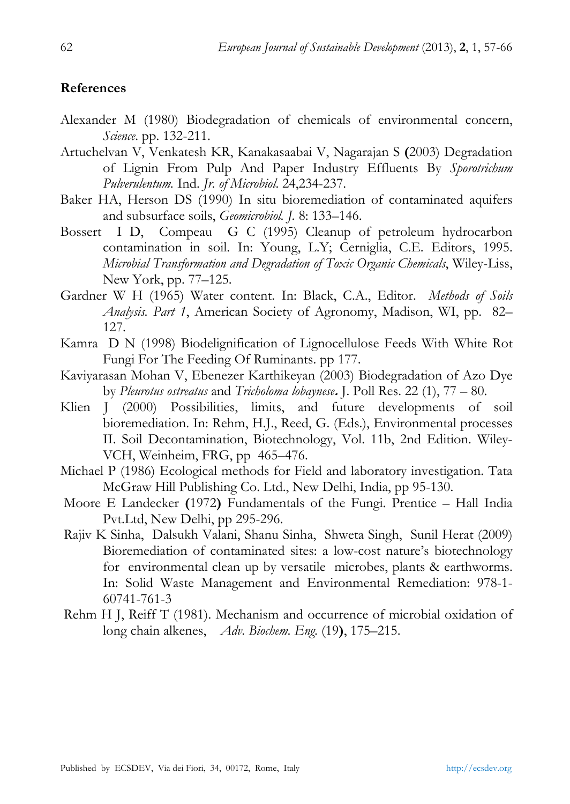# **References**

- Alexander M (1980) Biodegradation of chemicals of environmental concern, *Science*. pp. 132-211.
- Artuchelvan V, Venkatesh KR, Kanakasaabai V, Nagarajan S **(**2003) Degradation of Lignin From Pulp And Paper Industry Effluents By *Sporotrichum Pulverulentum.* Ind. *Jr. of Microbiol*. 24,234-237.
- Baker HA, Herson DS (1990) In situ bioremediation of contaminated aquifers and subsurface soils, *Geomicrobiol. J.* 8: 133–146.
- Bossert I D, Compeau G C (1995) Cleanup of petroleum hydrocarbon contamination in soil. In: Young, L.Y; Cerniglia, C.E. Editors, 1995. *Microbial Transformation and Degradation of Toxic Organic Chemicals*, Wiley-Liss, New York, pp. 77–125.
- Gardner W H (1965) Water content. In: Black, C.A., Editor. *Methods of Soils Analysis. Part 1*, American Society of Agronomy, Madison, WI, pp. 82– 127.
- Kamra D N (1998) Biodelignification of Lignocellulose Feeds With White Rot Fungi For The Feeding Of Ruminants. pp 177.
- Kaviyarasan Mohan V, Ebenezer Karthikeyan (2003) Biodegradation of Azo Dye by *Pleurotus ostreatus* and *Tricholoma lobaynese***.** J. Poll Res. 22 (1), 77 – 80.
- Klien J (2000) Possibilities, limits, and future developments of soil bioremediation. In: Rehm, H.J., Reed, G. (Eds.), Environmental processes II. Soil Decontamination, Biotechnology, Vol. 11b, 2nd Edition. Wiley-VCH, Weinheim, FRG, pp 465–476.
- Michael P (1986) Ecological methods for Field and laboratory investigation. Tata McGraw Hill Publishing Co. Ltd., New Delhi, India, pp 95-130.
- Moore E Landecker **(**1972**)** Fundamentals of the Fungi. Prentice Hall India Pvt.Ltd, New Delhi, pp 295-296.
- Rajiv K Sinha, Dalsukh Valani, Shanu Sinha, Shweta Singh, Sunil Herat (2009) Bioremediation of contaminated sites: a low-cost nature's biotechnology for environmental clean up by versatile microbes, plants & earthworms. In: Solid Waste Management and Environmental Remediation: 978-1- 60741-761-3
- Rehm H J, Reiff T (1981). Mechanism and occurrence of microbial oxidation of long chain alkenes, *Adv. Biochem. Eng.* (19**)**, 175–215.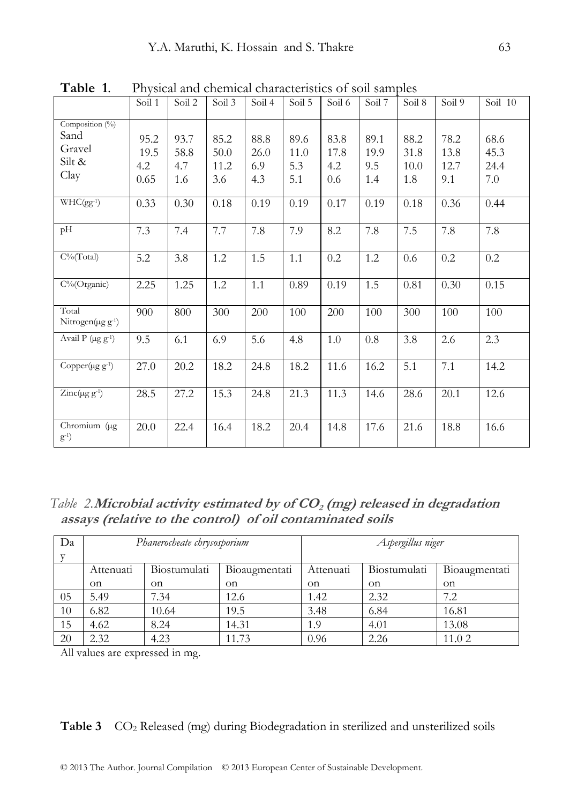|                                                              | Soil 1                      | Soil 2                     | Soil <sub>3</sub>           | Soil 4                     | Soil 5                     | Soil 6                     | Soil 7                     | Soil <sub>8</sub>           | Soil 9                      | Soil 10                     |
|--------------------------------------------------------------|-----------------------------|----------------------------|-----------------------------|----------------------------|----------------------------|----------------------------|----------------------------|-----------------------------|-----------------------------|-----------------------------|
| Composition $(^{0}_{0})$<br>Sand<br>Gravel<br>Silt &<br>Clay | 95.2<br>19.5<br>4.2<br>0.65 | 93.7<br>58.8<br>4.7<br>1.6 | 85.2<br>50.0<br>11.2<br>3.6 | 88.8<br>26.0<br>6.9<br>4.3 | 89.6<br>11.0<br>5.3<br>5.1 | 83.8<br>17.8<br>4.2<br>0.6 | 89.1<br>19.9<br>9.5<br>1.4 | 88.2<br>31.8<br>10.0<br>1.8 | 78.2<br>13.8<br>12.7<br>9.1 | 68.6<br>45.3<br>24.4<br>7.0 |
| $WHC(gg^{-1})$                                               | 0.33                        | 0.30                       | 0.18                        | 0.19                       | 0.19                       | 0.17                       | 0.19                       | 0.18                        | 0.36                        | 0.44                        |
| pH                                                           | 7.3                         | 7.4                        | 7.7                         | 7.8                        | 7.9                        | 8.2                        | 7.8                        | 7.5                         | 7.8                         | 7.8                         |
| $C\%$ (Total)                                                | 5.2                         | 3.8                        | 1.2                         | 1.5                        | 1.1                        | 0.2                        | 1.2                        | 0.6                         | 0.2                         | 0.2                         |
| $C\%$ (Organic)                                              | 2.25                        | 1.25                       | 1.2                         | 1.1                        | 0.89                       | 0.19                       | 1.5                        | 0.81                        | 0.30                        | 0.15                        |
| Total<br>Nitrogen( $\mu$ g g <sup>-1</sup> )                 | 900                         | 800                        | 300                         | 200                        | 100                        | 200                        | 100                        | 300                         | 100                         | 100                         |
| Avail $\overline{P}$ (µg g <sup>-1</sup> )                   | 9.5                         | 6.1                        | 6.9                         | 5.6                        | 4.8                        | $1.0\,$                    | 0.8                        | 3.8                         | 2.6                         | 2.3                         |
| Copper $(\mu g g^{-1})$                                      | 27.0                        | 20.2                       | 18.2                        | 24.8                       | 18.2                       | 11.6                       | 16.2                       | 5.1                         | 7.1                         | 14.2                        |
| $\text{Zinc}(\mu g g^{-1})$                                  | 28.5                        | 27.2                       | 15.3                        | 24.8                       | 21.3                       | 11.3                       | 14.6                       | 28.6                        | 20.1                        | 12.6                        |
| Chromium (µg<br>$(g^{-1})$                                   | 20.0                        | 22.4                       | 16.4                        | 18.2                       | 20.4                       | 14.8                       | 17.6                       | 21.6                        | 18.8                        | 16.6                        |

**Table 1**. Physical and chemical characteristics of soil samples

 *Table 2.***Microbial activity estimated by of CO<sup>2</sup> (mg) released in degradation assays (relative to the control) of oil contaminated soils** 

| Da |           | Phanerocheate chrysosporium |               | Aspergillus niger |              |               |  |  |
|----|-----------|-----------------------------|---------------|-------------------|--------------|---------------|--|--|
|    | Attenuati | Biostumulati                | Bioaugmentati | Attenuati         | Biostumulati | Bioaugmentati |  |  |
|    | on        | on                          | on            | on                | on           | <sub>on</sub> |  |  |
| 05 | 5.49      | 7.34                        | 12.6          | 1.42              | 2.32         | 7.2           |  |  |
| 10 | 6.82      | 10.64                       | 19.5          | 3.48              | 6.84         | 16.81         |  |  |
| 15 | 4.62      | 8.24                        | 14.31         | 1.9               | 4.01         | 13.08         |  |  |
| 20 | 2.32      | 4.23                        | 11.73         | 0.96              | 2.26         | 11.02         |  |  |

All values are expressed in mg.

#### Table 3 CO<sub>2</sub> Released (mg) during Biodegradation in sterilized and unsterilized soils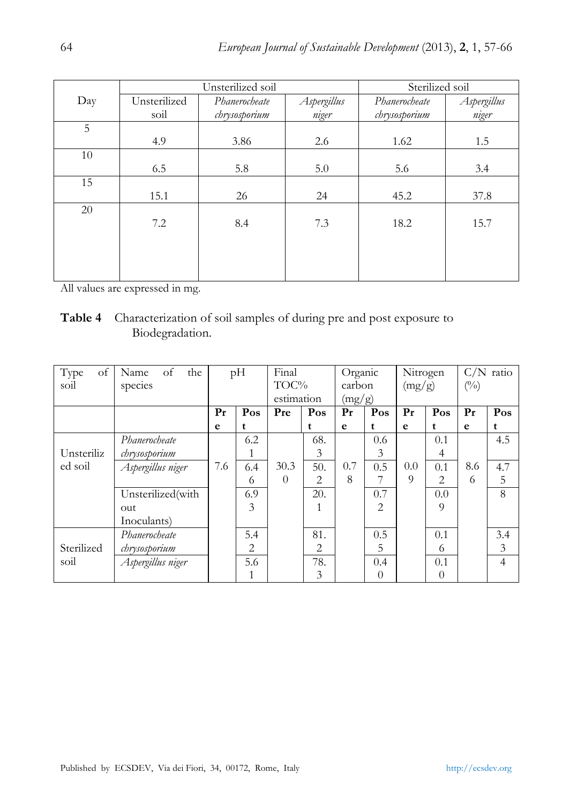|     |              | Unsterilized soil | Sterilized soil |               |             |  |  |
|-----|--------------|-------------------|-----------------|---------------|-------------|--|--|
| Day | Unsterilized | Phanerocheate     | Aspergillus     | Phanerocheate | Aspergillus |  |  |
|     | soil         | chrysosporium     | niger           | chrysosporium | niger       |  |  |
| 5   |              |                   |                 |               |             |  |  |
|     | 4.9          | 3.86              | 2.6             | 1.62          | 1.5         |  |  |
| 10  |              |                   |                 |               |             |  |  |
|     | 6.5          | 5.8               | 5.0             | 5.6           | 3.4         |  |  |
| 15  |              |                   |                 |               |             |  |  |
|     | 15.1         | 26                | 24              | 45.2          | 37.8        |  |  |
| 20  |              |                   |                 |               |             |  |  |
|     | 7.2          | 8.4               | 7.3             | 18.2          | 15.7        |  |  |
|     |              |                   |                 |               |             |  |  |
|     |              |                   |                 |               |             |  |  |
|     |              |                   |                 |               |             |  |  |
|     |              |                   |                 |               |             |  |  |

All values are expressed in mg.

**Table 4** Characterization of soil samples of during pre and post exposure to Biodegradation.

| Type<br>of | of<br>the<br>Name | pH      |                | Final      |                | Organic |                | Nitrogen |                | $C/N$ ratio |                |
|------------|-------------------|---------|----------------|------------|----------------|---------|----------------|----------|----------------|-------------|----------------|
| soil       | species           |         |                | TOC%       |                | carbon  |                | (mg/g)   |                | $(\%)$      |                |
|            |                   |         |                | estimation |                | (mg/g)  |                |          |                |             |                |
|            |                   | $P_{r}$ | Pos            | Pre        | Pos            | Pr      | Pos            | $P_{r}$  | Pos            | Pr          | Pos            |
|            |                   | e       | t              |            | t              | e       | t              | e        | t              | e           | t              |
|            | Phanerocheate     |         | 6.2            |            | 68.            |         | 0.6            |          | 0.1            |             | 4.5            |
| Unsteriliz | chrysosporium     |         | $\mathbf{1}$   |            | $\mathfrak{Z}$ |         | 3              |          | $\overline{4}$ |             |                |
| ed soil    | Aspergillus niger | 7.6     | 6.4            | 30.3       | 50.            | 0.7     | 0.5            | 0.0      | 0.1            | 8.6         | 4.7            |
|            |                   |         | 6              | $\theta$   | 2              | 8       | 7              | 9        | $\overline{2}$ | 6           | 5              |
|            | Unsterilized(with |         | 6.9            |            | 20.            |         | 0.7            |          | 0.0            |             | 8              |
|            | out               |         | 3              |            |                |         | $\overline{2}$ |          | 9              |             |                |
|            | Inoculants)       |         |                |            |                |         |                |          |                |             |                |
|            | Phanerocheate     |         | 5.4            |            | 81.            |         | 0.5            |          | 0.1            |             | 3.4            |
| Sterilized | chrysosporium     |         | $\overline{2}$ |            | 2              |         | 5              |          | 6              |             | 3              |
| soil       | Aspergillus niger |         | 5.6            |            | 78.            |         | 0.4            |          | 0.1            |             | $\overline{4}$ |
|            |                   |         | 1              |            | 3              |         | $\Omega$       |          | $\theta$       |             |                |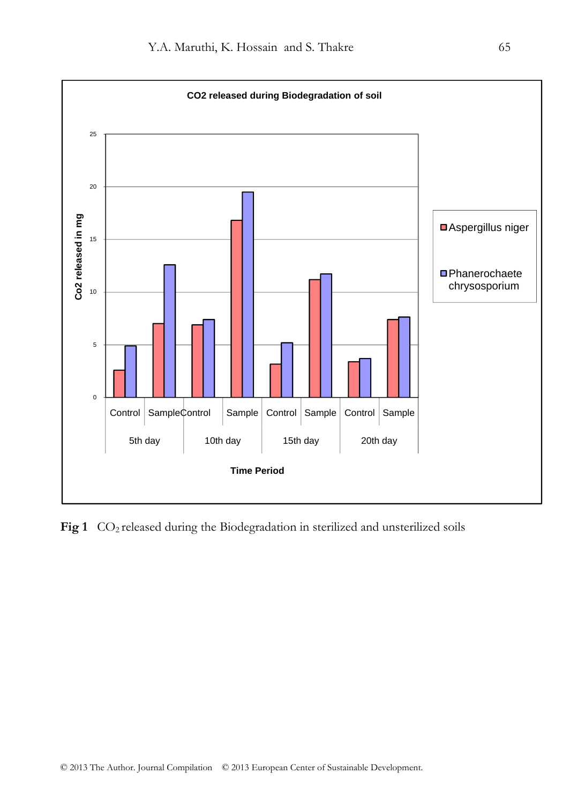

Fig 1 CO<sub>2</sub> released during the Biodegradation in sterilized and unsterilized soils